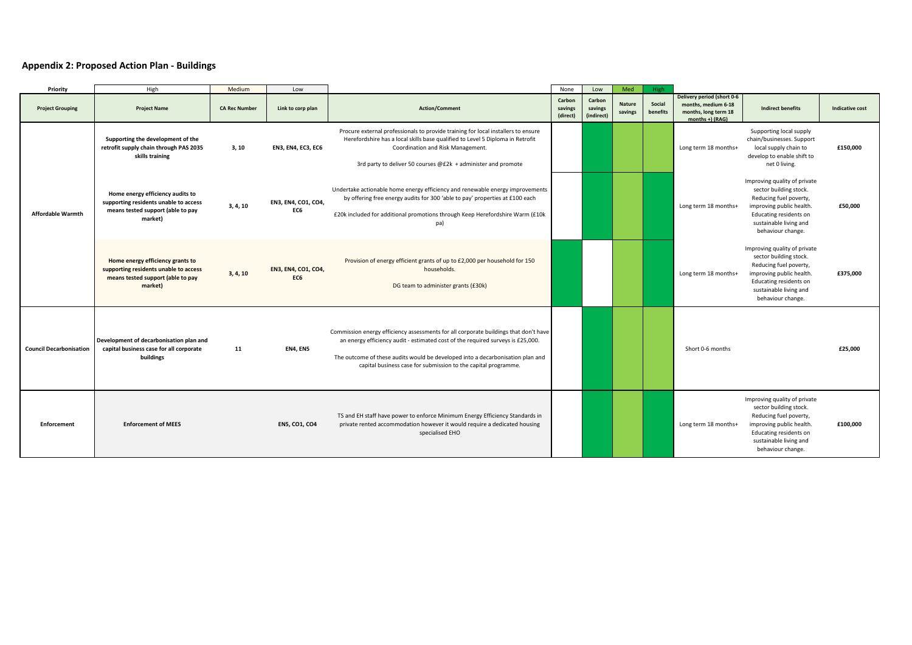## **Appendix 2: Proposed Action Plan - Buildings**

| Priority                       | High                                                                                                                      | Medium               | Low                        |                                                                                                                                                                                                                                                                                                                             | None                          | Low                             | Med                      | High               |                                                                                              |                                                                                                                                                                                       |                        |
|--------------------------------|---------------------------------------------------------------------------------------------------------------------------|----------------------|----------------------------|-----------------------------------------------------------------------------------------------------------------------------------------------------------------------------------------------------------------------------------------------------------------------------------------------------------------------------|-------------------------------|---------------------------------|--------------------------|--------------------|----------------------------------------------------------------------------------------------|---------------------------------------------------------------------------------------------------------------------------------------------------------------------------------------|------------------------|
| <b>Project Grouping</b>        | <b>Project Name</b>                                                                                                       | <b>CA Rec Number</b> | Link to corp plan          | <b>Action/Comment</b>                                                                                                                                                                                                                                                                                                       | Carbon<br>savings<br>(direct) | Carbon<br>savings<br>(indirect) | <b>Nature</b><br>savings | Social<br>benefits | Delivery period (short 0-6<br>months, medium 6-18<br>months, long term 18<br>months +) (RAG) | <b>Indirect benefits</b>                                                                                                                                                              | <b>Indicative cost</b> |
| <b>Affordable Warmth</b>       | Supporting the development of the<br>retrofit supply chain through PAS 2035<br>skills training                            | 3, 10                | <b>EN3, EN4, EC3, EC6</b>  | Procure external professionals to provide training for local installers to ensure<br>Herefordshire has a local skills base qualified to Level 5 Diploma in Retrofit<br>Coordination and Risk Management.<br>3rd party to deliver 50 courses @£2k + administer and promote                                                   |                               |                                 |                          |                    | Long term 18 months+                                                                         | Supporting local supply<br>chain/businesses. Support<br>local supply chain to<br>develop to enable shift to<br>net 0 living.                                                          | £150,000               |
|                                | Home energy efficiency audits to<br>supporting residents unable to access<br>means tested support (able to pay<br>market) | 3, 4, 10             | EN3, EN4, CO1, CO4,<br>EC6 | Undertake actionable home energy efficiency and renewable energy improvements<br>by offering free energy audits for 300 'able to pay' properties at £100 each<br>£20k included for additional promotions through Keep Herefordshire Warm (£10k<br>pa)                                                                       |                               |                                 |                          |                    | Long term 18 months+                                                                         | Improving quality of private<br>sector building stock.<br>Reducing fuel poverty,<br>improving public health.<br>Educating residents on<br>sustainable living and<br>behaviour change. | £50,000                |
|                                | Home energy efficiency grants to<br>supporting residents unable to access<br>means tested support (able to pay<br>market) | 3, 4, 10             | EN3, EN4, CO1, CO4,<br>EC6 | Provision of energy efficient grants of up to £2,000 per household for 150<br>households.<br>DG team to administer grants (£30k)                                                                                                                                                                                            |                               |                                 |                          |                    | Long term 18 months+                                                                         | Improving quality of private<br>sector building stock.<br>Reducing fuel poverty,<br>improving public health.<br>Educating residents on<br>sustainable living and<br>behaviour change. | £375,000               |
| <b>Council Decarbonisation</b> | Development of decarbonisation plan and<br>capital business case for all corporate<br>buildings                           | 11                   | EN4, EN5                   | Commission energy efficiency assessments for all corporate buildings that don't have<br>an energy efficiency audit - estimated cost of the required surveys is £25,000.<br>The outcome of these audits would be developed into a decarbonisation plan and<br>capital business case for submission to the capital programme. |                               |                                 |                          |                    | Short 0-6 months                                                                             |                                                                                                                                                                                       | £25.000                |
| <b>Enforcement</b>             | <b>Enforcement of MEES</b>                                                                                                |                      | <b>EN5, CO1, CO4</b>       | TS and EH staff have power to enforce Minimum Energy Efficiency Standards in<br>private rented accommodation however it would require a dedicated housing<br>specialised EHO                                                                                                                                                |                               |                                 |                          |                    | Long term 18 months+                                                                         | Improving quality of private<br>sector building stock.<br>Reducing fuel poverty,<br>improving public health.<br>Educating residents on<br>sustainable living and<br>behaviour change. | £100,000               |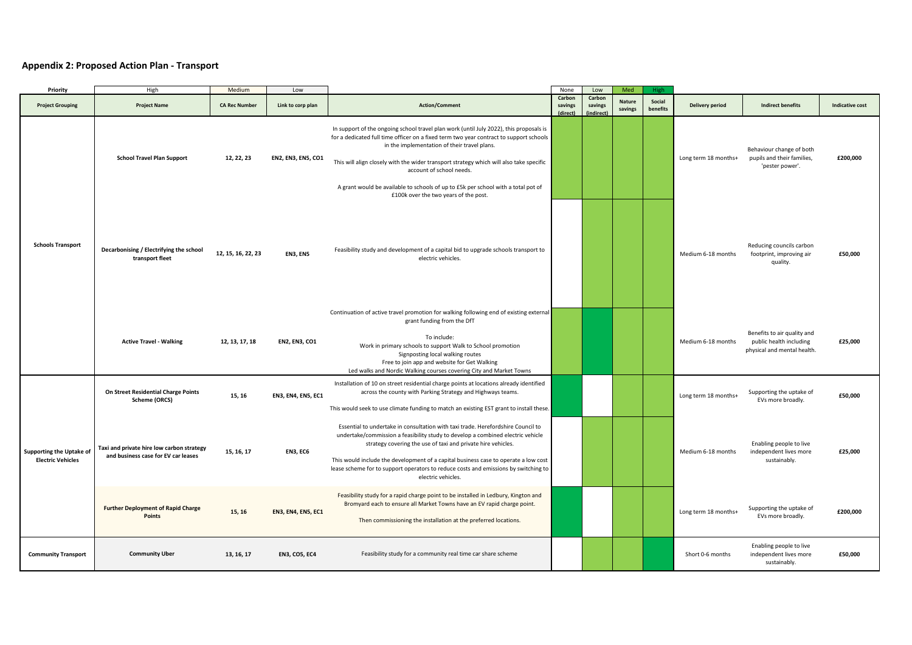## **Appendix 2: Proposed Action Plan - Transport**

| Priority                                                    | High                                                                             | Medium               | Low                       |                                                                                                                                                                                                                                                                                                                                                                                                                                                                                       | None                          | Low                             | Med                      | High               |                      |                                                                                       |                        |
|-------------------------------------------------------------|----------------------------------------------------------------------------------|----------------------|---------------------------|---------------------------------------------------------------------------------------------------------------------------------------------------------------------------------------------------------------------------------------------------------------------------------------------------------------------------------------------------------------------------------------------------------------------------------------------------------------------------------------|-------------------------------|---------------------------------|--------------------------|--------------------|----------------------|---------------------------------------------------------------------------------------|------------------------|
| <b>Project Grouping</b>                                     | <b>Project Name</b>                                                              | <b>CA Rec Number</b> | Link to corp plan         | <b>Action/Comment</b>                                                                                                                                                                                                                                                                                                                                                                                                                                                                 | Carbon<br>savings<br>(direct) | Carbon<br>savings<br>(indirect) | <b>Nature</b><br>savings | Social<br>benefits | Delivery period      | <b>Indirect benefits</b>                                                              | <b>Indicative cost</b> |
| <b>Schools Transport</b>                                    | <b>School Travel Plan Support</b>                                                | 12, 22, 23           | EN2, EN3, EN5, CO1        | In support of the ongoing school travel plan work (until July 2022), this proposals is<br>for a dedicated full time officer on a fixed term two year contract to support schools<br>in the implementation of their travel plans.<br>This will align closely with the wider transport strategy which will also take specific<br>account of school needs.<br>A grant would be available to schools of up to £5k per school with a total pot of<br>£100k over the two years of the post. |                               |                                 |                          |                    | Long term 18 months+ | Behaviour change of both<br>pupils and their families,<br>'pester power'.             | £200,000               |
|                                                             | Decarbonising / Electrifying the school<br>transport fleet                       | 12, 15, 16, 22, 23   | EN3, EN5                  | Feasibility study and development of a capital bid to upgrade schools transport to<br>electric vehicles.                                                                                                                                                                                                                                                                                                                                                                              |                               |                                 |                          |                    | Medium 6-18 months   | Reducing councils carbon<br>footprint, improving air<br>quality.                      | £50,000                |
|                                                             | <b>Active Travel - Walking</b>                                                   | 12, 13, 17, 18       | <b>EN2, EN3, CO1</b>      | Continuation of active travel promotion for walking following end of existing external<br>grant funding from the DfT<br>To include:<br>Work in primary schools to support Walk to School promotion<br>Signposting local walking routes<br>Free to join app and website for Get Walking<br>Led walks and Nordic Walking courses covering City and Market Towns                                                                                                                         |                               |                                 |                          |                    | Medium 6-18 months   | Benefits to air quality and<br>public health including<br>physical and mental health. | £25,000                |
| <b>Supporting the Uptake of</b><br><b>Electric Vehicles</b> | On Street Residential Charge Points<br>Scheme (ORCS)                             | 15, 16               | <b>EN3, EN4, EN5, EC1</b> | Installation of 10 on street residential charge points at locations already identified<br>across the county with Parking Strategy and Highways teams.<br>This would seek to use climate funding to match an existing EST grant to install these.                                                                                                                                                                                                                                      |                               |                                 |                          |                    | Long term 18 months+ | Supporting the uptake of<br>EVs more broadly.                                         | £50.000                |
|                                                             | Taxi and private hire low carbon strategy<br>and business case for EV car leases | 15, 16, 17           | EN3, EC6                  | Essential to undertake in consultation with taxi trade. Herefordshire Council to<br>undertake/commission a feasibility study to develop a combined electric vehicle<br>strategy covering the use of taxi and private hire vehicles.<br>This would include the development of a capital business case to operate a low cost<br>lease scheme for to support operators to reduce costs and emissions by switching to<br>electric vehicles.                                               |                               |                                 |                          |                    | Medium 6-18 months   | Enabling people to live<br>independent lives more<br>sustainably.                     | £25,000                |
|                                                             | <b>Further Deployment of Rapid Charge</b><br><b>Points</b>                       | 15, 16               | <b>EN3, EN4, EN5, EC1</b> | Feasibility study for a rapid charge point to be installed in Ledbury, Kington and<br>Bromyard each to ensure all Market Towns have an EV rapid charge point.<br>Then commissioning the installation at the preferred locations.                                                                                                                                                                                                                                                      |                               |                                 |                          |                    | Long term 18 months+ | Supporting the uptake of<br>EVs more broadly.                                         | £200,000               |
| <b>Community Transport</b>                                  | <b>Community Uber</b>                                                            | 13, 16, 17           | <b>EN3, CO5, EC4</b>      | Feasibility study for a community real time car share scheme                                                                                                                                                                                                                                                                                                                                                                                                                          |                               |                                 |                          |                    | Short 0-6 months     | Enabling people to live<br>independent lives more<br>sustainably.                     | £50,000                |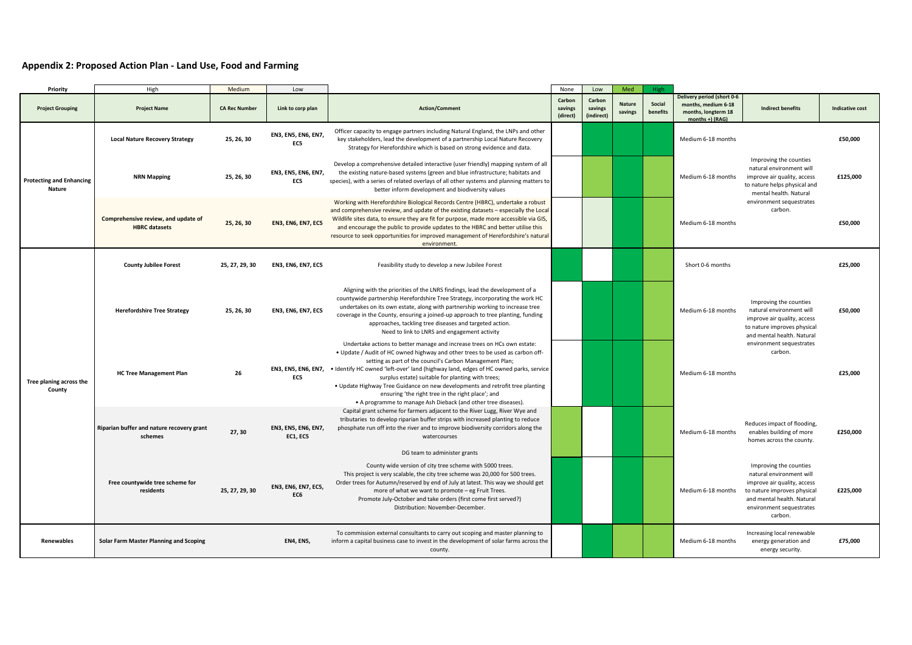## **Appendix 2: Proposed Action Plan - Land Use, Food and Farming**

| Priority                                         | High                                                        | Medium               | Low                             |                                                                                                                                                                                                                                                                                                                                                                                                                                                                                                                                                                             | None                          | Low                             | Med                      | High               |                                                                                             |                                                                                                                                                                                       |                        |
|--------------------------------------------------|-------------------------------------------------------------|----------------------|---------------------------------|-----------------------------------------------------------------------------------------------------------------------------------------------------------------------------------------------------------------------------------------------------------------------------------------------------------------------------------------------------------------------------------------------------------------------------------------------------------------------------------------------------------------------------------------------------------------------------|-------------------------------|---------------------------------|--------------------------|--------------------|---------------------------------------------------------------------------------------------|---------------------------------------------------------------------------------------------------------------------------------------------------------------------------------------|------------------------|
| <b>Project Grouping</b>                          | <b>Project Name</b>                                         | <b>CA Rec Number</b> | Link to corp plan               | <b>Action/Comment</b>                                                                                                                                                                                                                                                                                                                                                                                                                                                                                                                                                       | Carbon<br>savings<br>(direct) | Carbon<br>savings<br>(indirect) | <b>Nature</b><br>savings | Social<br>benefits | Delivery period (short 0-6<br>months, medium 6-18<br>months, longterm 18<br>months +) (RAG) | <b>Indirect benefits</b>                                                                                                                                                              | <b>Indicative cost</b> |
| <b>Protecting and Enhancing</b><br><b>Nature</b> | <b>Local Nature Recovery Strategy</b>                       | 25, 26, 30           | EN3, EN5, EN6, EN7,<br>EC5      | Officer capacity to engage partners including Natural England, the LNPs and other<br>key stakeholders, lead the development of a partnership Local Nature Recovery<br>Strategy for Herefordshire which is based on strong evidence and data.                                                                                                                                                                                                                                                                                                                                |                               |                                 |                          |                    | Medium 6-18 months                                                                          |                                                                                                                                                                                       | £50,000                |
|                                                  | <b>NRN Mapping</b>                                          | 25, 26, 30           | EN3, EN5, EN6, EN7,<br>EC5      | Develop a comprehensive detailed interactive (user friendly) mapping system of all<br>the existing nature-based systems (green and blue infrastructure; habitats and<br>species), with a series of related overlays of all other systems and planning matters to<br>better inform development and biodiversity values                                                                                                                                                                                                                                                       |                               |                                 |                          |                    | Medium 6-18 months                                                                          | Improving the counties<br>natural environment will<br>improve air quality, access<br>to nature helps physical and<br>mental health. Natural<br>environment sequestrates<br>carbon.    | £125,000               |
|                                                  | Comprehensive review, and update of<br><b>HBRC</b> datasets | 25, 26, 30           | <b>EN3, EN6, EN7, EC5</b>       | Working with Herefordshire Biological Records Centre (HBRC), undertake a robust<br>and comprehensive review, and update of the existing datasets - especially the Local<br>Wildlife sites data, to ensure they are fit for purpose, made more accessible via GIS,<br>and encourage the public to provide updates to the HBRC and better utilise this<br>resource to seek opportunities for improved management of Herefordshire's natural<br>environment.                                                                                                                   |                               |                                 |                          |                    | Medium 6-18 months                                                                          |                                                                                                                                                                                       | £50,000                |
| Tree planing across the<br>County                | <b>County Jubilee Forest</b>                                | 25, 27, 29, 30       | <b>EN3, EN6, EN7, EC5</b>       | Feasibility study to develop a new Jubilee Forest                                                                                                                                                                                                                                                                                                                                                                                                                                                                                                                           |                               |                                 |                          |                    | Short 0-6 months                                                                            |                                                                                                                                                                                       | £25,000                |
|                                                  | <b>Herefordshire Tree Strategy</b>                          | 25, 26, 30           | <b>EN3, EN6, EN7, EC5</b>       | Aligning with the priorities of the LNRS findings, lead the development of a<br>countywide partnership Herefordshire Tree Strategy, incorporating the work HC<br>undertakes on its own estate, along with partnership working to increase tree<br>coverage in the County, ensuring a joined-up approach to tree planting, funding<br>approaches, tackling tree diseases and targeted action.<br>Need to link to LNRS and engagement activity                                                                                                                                |                               |                                 |                          |                    | Medium 6-18 months                                                                          | Improving the counties<br>natural environment will<br>improve air quality, access<br>to nature improves physical<br>and mental health. Natural                                        | £50,000                |
|                                                  | <b>HC Tree Management Plan</b>                              | 26                   | EN3, EN5, EN6, EN7,<br>EC5      | Undertake actions to better manage and increase trees on HCs own estate:<br>. Update / Audit of HC owned highway and other trees to be used as carbon off-<br>setting as part of the council's Carbon Management Plan;<br>· Identify HC owned 'left-over' land (highway land, edges of HC owned parks, service<br>surplus estate) suitable for planting with trees;<br>. Update Highway Tree Guidance on new developments and retrofit tree planting<br>ensuring 'the right tree in the right place'; and<br>• A programme to manage Ash Dieback (and other tree diseases). |                               |                                 |                          |                    | Medium 6-18 months                                                                          | environment sequestrates<br>carbon.                                                                                                                                                   | £25,000                |
|                                                  | Riparian buffer and nature recovery grant<br>schemes        | 27, 30               | EN3, EN5, EN6, EN7,<br>EC1, EC5 | Capital grant scheme for farmers adjacent to the River Lugg, River Wye and<br>tributaries to develop riparian buffer strips with increased planting to reduce<br>phosphate run off into the river and to improve biodiversity corridors along the<br>watercourses<br>DG team to administer grants                                                                                                                                                                                                                                                                           |                               |                                 |                          |                    | Medium 6-18 months                                                                          | Reduces impact of flooding,<br>enables building of more<br>homes across the county.                                                                                                   | £250,000               |
|                                                  | Free countywide tree scheme for<br>residents                | 25, 27, 29, 30       | EN3, EN6, EN7, EC5,<br>EC6      | County wide version of city tree scheme with 5000 trees.<br>This project is very scalable, the city tree scheme was 20,000 for 500 trees.<br>Order trees for Autumn/reserved by end of July at latest. This way we should get<br>more of what we want to promote - eg Fruit Trees.<br>Promote July-October and take orders (first come first served?)<br>Distribution: November-December.                                                                                                                                                                                   |                               |                                 |                          |                    | Medium 6-18 months                                                                          | Improving the counties<br>natural environment will<br>improve air quality, access<br>to nature improves physical<br>and mental health. Natural<br>environment sequestrates<br>carbon. | £225,000               |
| <b>Renewables</b>                                | Solar Farm Master Planning and Scoping                      |                      | <b>EN4, EN5,</b>                | To commission external consultants to carry out scoping and master planning to<br>inform a capital business case to invest in the development of solar farms across the<br>county.                                                                                                                                                                                                                                                                                                                                                                                          |                               |                                 |                          |                    | Medium 6-18 months                                                                          | Increasing local renewable<br>energy generation and<br>energy security.                                                                                                               | £75.000                |